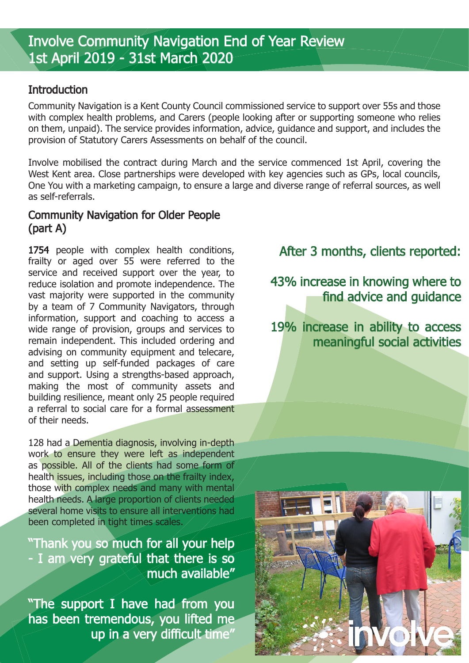## **Introduction**

Community Navigation is a Kent County Council commissioned service to support over 55s and those with complex health problems, and Carers (people looking after or supporting someone who relies on them, unpaid). The service provides information, advice, guidance and support, and includes the provision of Statutory Carers Assessments on behalf of the council.

Involve mobilised the contract during March and the service commenced 1st April, covering the West Kent area. Close partnerships were developed with key agencies such as GPs, local councils, One You with a marketing campaign, to ensure a large and diverse range of referral sources, as well as self-referrals.

## Community Navigation for Older People (part A)

1754 people with complex health conditions, frailty or aged over 55 were referred to the service and received support over the year, to reduce isolation and promote independence. The vast majority were supported in the community by a team of 7 Community Navigators, through information, support and coaching to access a wide range of provision, groups and services to remain independent. This included ordering and advising on community equipment and telecare, and setting up self-funded packages of care and support. Using a strengths-based approach, making the most of community assets and building resilience, meant only 25 people required a referral to social care for a formal assessment of their needs.

128 had a Dementia diagnosis, involving in-depth work to ensure they were left as independent as possible. All of the clients had some form of health issues, including those on the frailty index, those with complex needs and many with mental health needs. A large proportion of clients needed several home visits to ensure all interventions had been completed in tight times scales.

"Thank you so much for all your help - I am very grateful that there is so much available"

"The support I have had from you has been tremendous, you lifted me up in a very difficult time"

After 3 months, clients reported:

43% increase in knowing where to find advice and guidance

19% increase in ability to access meaningful social activities